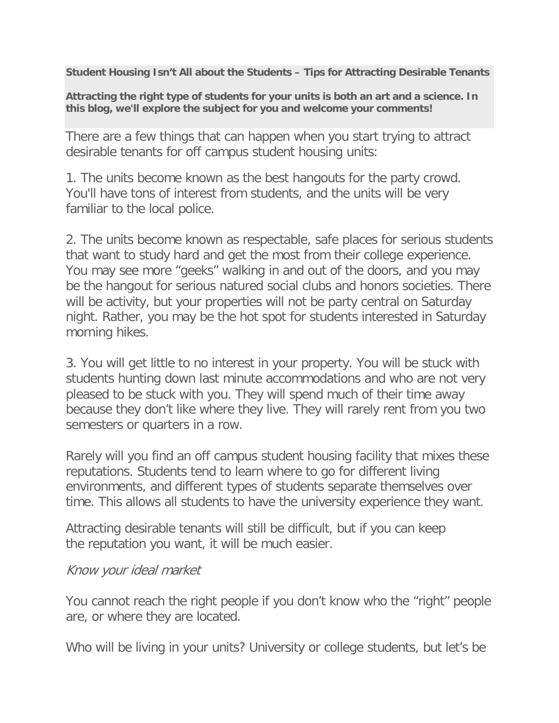**Student Housing Isn't All about the Students – Tips for Attracting Desirable Tenants**

**Attracting the right type of students for your units is both an art and a science. In this blog, we'll explore the subject for you and welcome your comments!**

There are a few things that can happen when you start trying to attract desirable tenants for off campus student housing units:

1. The units become known as the best hangouts for the party crowd. You'll have tons of interest from students, and the units will be very familiar to the local police.

2. The units become known as respectable, safe places for serious students that want to study hard and get the most from their college experience. You may see more "geeks" walking in and out of the doors, and you may be the hangout for serious natured social clubs and honors societies. There will be activity, but your properties will not be party central on Saturday night. Rather, you may be the hot spot for students interested in Saturday morning hikes.

3. You will get little to no interest in your property. You will be stuck with students hunting down last minute accommodations and who are not very pleased to be stuck with you. They will spend much of their time away because they don't like where they live. They will rarely rent from you two semesters or quarters in a row.

Rarely will you find an off campus student housing facility that mixes these reputations. Students tend to learn where to go for different living environments, and different types of students separate themselves over time. This allows all students to have the university experience they want.

Attracting desirable tenants will still be difficult, but if you can keep the reputation you want, it will be much easier.

#### Know your ideal market

You cannot reach the right people if you don't know who the "right" people are, or where they are located.

Who will be living in your units? University or college students, but let's be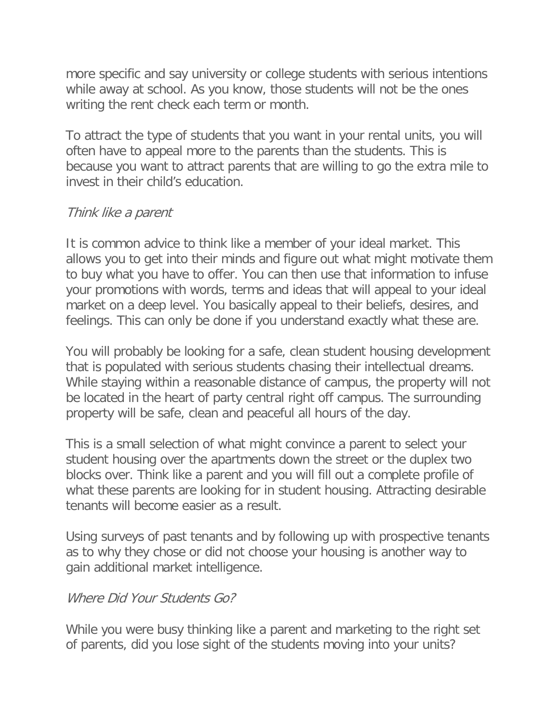more specific and say university or college students with serious intentions while away at school. As you know, those students will not be the ones writing the rent check each term or month.

To attract the type of students that you want in your rental units, you will often have to appeal more to the parents than the students. This is because you want to attract parents that are willing to go the extra mile to invest in their child's education.

# Think like a parent

It is common advice to think like a member of your ideal market. This allows you to get into their minds and figure out what might motivate them to buy what you have to offer. You can then use that information to infuse your promotions with words, terms and ideas that will appeal to your ideal market on a deep level. You basically appeal to their beliefs, desires, and feelings. This can only be done if you understand exactly what these are.

You will probably be looking for a safe, clean student housing development that is populated with serious students chasing their intellectual dreams. While staying within a reasonable distance of campus, the property will not be located in the heart of party central right off campus. The surrounding property will be safe, clean and peaceful all hours of the day.

This is a small selection of what might convince a parent to select your student housing over the apartments down the street or the duplex two blocks over. Think like a parent and you will fill out a complete profile of what these parents are looking for in student housing. Attracting desirable tenants will become easier as a result.

Using surveys of past tenants and by following up with prospective tenants as to why they chose or did not choose your housing is another way to gain additional market intelligence.

# Where Did Your Students Go?

While you were busy thinking like a parent and marketing to the right set of parents, did you lose sight of the students moving into your units?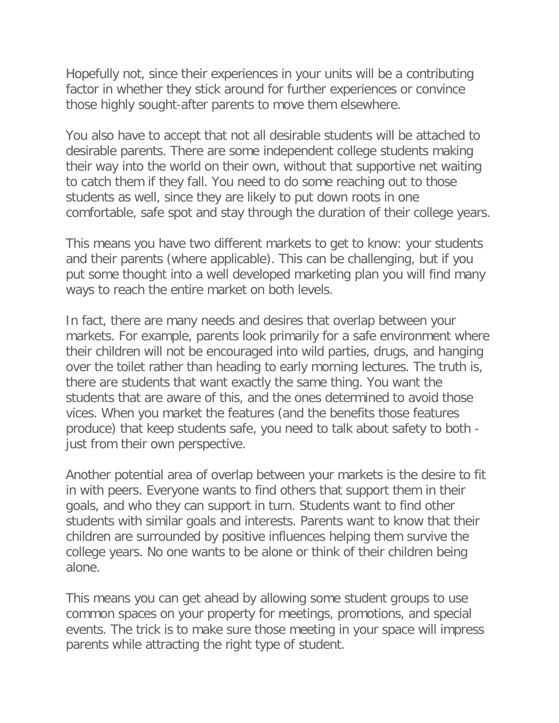Hopefully not, since their experiences in your units will be a contributing factor in whether they stick around for further experiences or convince those highly sought-after parents to move them elsewhere.

You also have to accept that not all desirable students will be attached to desirable parents. There are some independent college students making their way into the world on their own, without that supportive net waiting to catch them if they fall. You need to do some reaching out to those students as well, since they are likely to put down roots in one comfortable, safe spot and stay through the duration of their college years.

This means you have two different markets to get to know: your students and their parents (where applicable). This can be challenging, but if you put some thought into a well developed marketing plan you will find many ways to reach the entire market on both levels.

In fact, there are many needs and desires that overlap between your markets. For example, parents look primarily for a safe environment where their children will not be encouraged into wild parties, drugs, and hanging over the toilet rather than heading to early morning lectures. The truth is, there are students that want exactly the same thing. You want the students that are aware of this, and the ones determined to avoid those vices. When you market the features (and the benefits those features produce) that keep students safe, you need to talk about safety to both just from their own perspective.

Another potential area of overlap between your markets is the desire to fit in with peers. Everyone wants to find others that support them in their goals, and who they can support in turn. Students want to find other students with similar goals and interests. Parents want to know that their children are surrounded by positive influences helping them survive the college years. No one wants to be alone or think of their children being alone.

This means you can get ahead by allowing some student groups to use common spaces on your property for meetings, promotions, and special events. The trick is to make sure those meeting in your space will impress parents while attracting the right type of student.